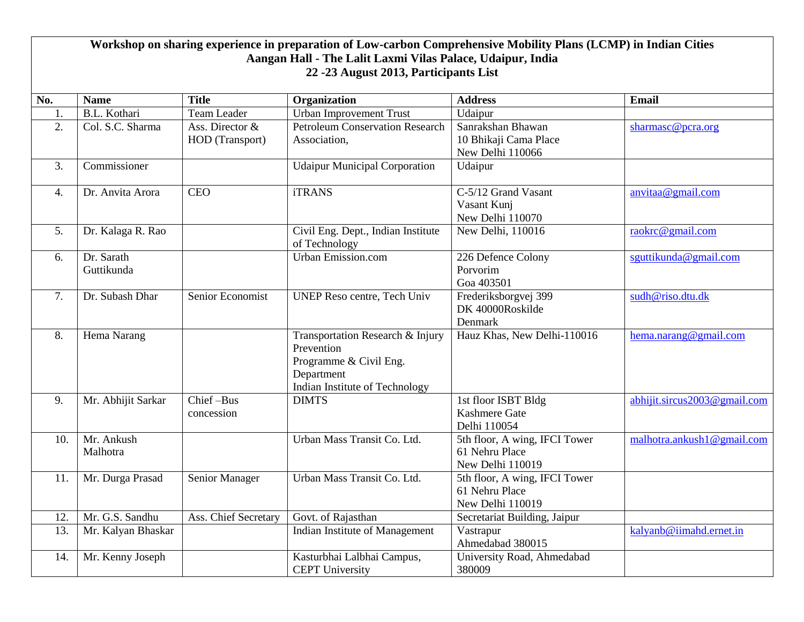| Workshop on sharing experience in preparation of Low-carbon Comprehensive Mobility Plans (LCMP) in Indian Cities<br>Aangan Hall - The Lalit Laxmi Vilas Palace, Udaipur, India<br>22 - 23 August 2013, Participants List |                          |                                    |                                                                                                                          |                                                                     |                              |  |
|--------------------------------------------------------------------------------------------------------------------------------------------------------------------------------------------------------------------------|--------------------------|------------------------------------|--------------------------------------------------------------------------------------------------------------------------|---------------------------------------------------------------------|------------------------------|--|
|                                                                                                                                                                                                                          |                          |                                    |                                                                                                                          |                                                                     |                              |  |
| No.                                                                                                                                                                                                                      | <b>Name</b>              | <b>Title</b>                       | Organization                                                                                                             | <b>Address</b>                                                      | <b>Email</b>                 |  |
| 1.                                                                                                                                                                                                                       | B.L. Kothari             | <b>Team Leader</b>                 | <b>Urban Improvement Trust</b>                                                                                           | Udaipur                                                             |                              |  |
| 2.                                                                                                                                                                                                                       | Col. S.C. Sharma         | Ass. Director &<br>HOD (Transport) | <b>Petroleum Conservation Research</b><br>Association,                                                                   | Sanrakshan Bhawan<br>10 Bhikaji Cama Place<br>New Delhi 110066      | sharmasc@pcra.org            |  |
| 3.                                                                                                                                                                                                                       | Commissioner             |                                    | <b>Udaipur Municipal Corporation</b>                                                                                     | Udaipur                                                             |                              |  |
| 4.                                                                                                                                                                                                                       | Dr. Anvita Arora         | <b>CEO</b>                         | <b>iTRANS</b>                                                                                                            | C-5/12 Grand Vasant<br>Vasant Kunj<br>New Delhi 110070              | anvitaa@gmail.com            |  |
| 5.                                                                                                                                                                                                                       | Dr. Kalaga R. Rao        |                                    | Civil Eng. Dept., Indian Institute<br>of Technology                                                                      | New Delhi, 110016                                                   | raokrc@gmail.com             |  |
| 6.                                                                                                                                                                                                                       | Dr. Sarath<br>Guttikunda |                                    | Urban Emission.com                                                                                                       | 226 Defence Colony<br>Porvorim<br>Goa 403501                        | sguttikunda@gmail.com        |  |
| 7.                                                                                                                                                                                                                       | Dr. Subash Dhar          | Senior Economist                   | UNEP Reso centre, Tech Univ                                                                                              | Frederiksborgvej 399<br>DK 40000Roskilde<br>Denmark                 | sudh@riso.dtu.dk             |  |
| 8.                                                                                                                                                                                                                       | Hema Narang              |                                    | Transportation Research & Injury<br>Prevention<br>Programme & Civil Eng.<br>Department<br>Indian Institute of Technology | Hauz Khas, New Delhi-110016                                         | hema.narang@gmail.com        |  |
| 9.                                                                                                                                                                                                                       | Mr. Abhijit Sarkar       | Chief-Bus<br>concession            | <b>DIMTS</b>                                                                                                             | 1st floor ISBT Bldg<br>Kashmere Gate<br>Delhi 110054                | abhijit.sircus2003@gmail.com |  |
| 10.                                                                                                                                                                                                                      | Mr. Ankush<br>Malhotra   |                                    | Urban Mass Transit Co. Ltd.                                                                                              | 5th floor, A wing, IFCI Tower<br>61 Nehru Place<br>New Delhi 110019 | malhotra.ankush1@gmail.com   |  |
| 11.                                                                                                                                                                                                                      | Mr. Durga Prasad         | Senior Manager                     | Urban Mass Transit Co. Ltd.                                                                                              | 5th floor, A wing, IFCI Tower<br>61 Nehru Place<br>New Delhi 110019 |                              |  |
| 12.                                                                                                                                                                                                                      | Mr. G.S. Sandhu          | Ass. Chief Secretary               | Govt. of Rajasthan                                                                                                       | Secretariat Building, Jaipur                                        |                              |  |
| 13.                                                                                                                                                                                                                      | Mr. Kalyan Bhaskar       |                                    | Indian Institute of Management                                                                                           | Vastrapur<br>Ahmedabad 380015                                       | kalyanb@iimahd.ernet.in      |  |
| 14.                                                                                                                                                                                                                      | Mr. Kenny Joseph         |                                    | Kasturbhai Lalbhai Campus,<br><b>CEPT University</b>                                                                     | University Road, Ahmedabad<br>380009                                |                              |  |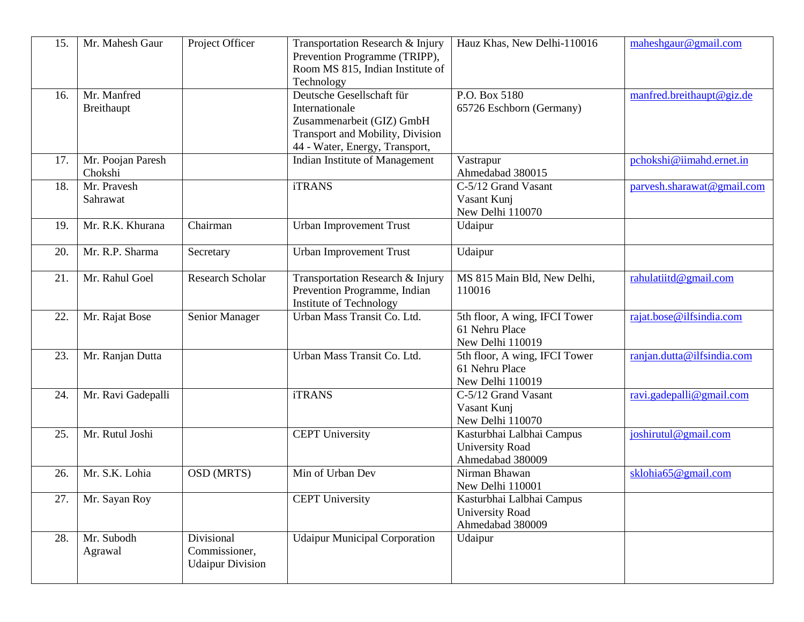| 15. | Mr. Mahesh Gaur              | Project Officer                                        | Transportation Research & Injury<br>Prevention Programme (TRIPP),<br>Room MS 815, Indian Institute of<br>Technology                            | Hauz Khas, New Delhi-110016                                             | maheshgaur@gmail.com       |
|-----|------------------------------|--------------------------------------------------------|------------------------------------------------------------------------------------------------------------------------------------------------|-------------------------------------------------------------------------|----------------------------|
| 16. | Mr. Manfred<br>Breithaupt    |                                                        | Deutsche Gesellschaft für<br>Internationale<br>Zusammenarbeit (GIZ) GmbH<br>Transport and Mobility, Division<br>44 - Water, Energy, Transport, | P.O. Box 5180<br>65726 Eschborn (Germany)                               | manfred.breithaupt@giz.de  |
| 17. | Mr. Poojan Paresh<br>Chokshi |                                                        | Indian Institute of Management                                                                                                                 | Vastrapur<br>Ahmedabad 380015                                           | pchokshi@iimahd.ernet.in   |
| 18. | Mr. Pravesh<br>Sahrawat      |                                                        | <b>iTRANS</b>                                                                                                                                  | C-5/12 Grand Vasant<br>Vasant Kunj<br>New Delhi 110070                  | parvesh.sharawat@gmail.com |
| 19. | Mr. R.K. Khurana             | Chairman                                               | <b>Urban Improvement Trust</b>                                                                                                                 | Udaipur                                                                 |                            |
| 20. | Mr. R.P. Sharma              | Secretary                                              | <b>Urban Improvement Trust</b>                                                                                                                 | Udaipur                                                                 |                            |
| 21. | Mr. Rahul Goel               | Research Scholar                                       | Transportation Research & Injury<br>Prevention Programme, Indian<br><b>Institute of Technology</b>                                             | MS 815 Main Bld, New Delhi,<br>110016                                   | rahulatiitd@gmail.com      |
| 22. | Mr. Rajat Bose               | Senior Manager                                         | Urban Mass Transit Co. Ltd.                                                                                                                    | 5th floor, A wing, IFCI Tower<br>61 Nehru Place<br>New Delhi 110019     | rajat.bose@ilfsindia.com   |
| 23. | Mr. Ranjan Dutta             |                                                        | Urban Mass Transit Co. Ltd.                                                                                                                    | 5th floor, A wing, IFCI Tower<br>61 Nehru Place<br>New Delhi 110019     | ranjan.dutta@ilfsindia.com |
| 24. | Mr. Ravi Gadepalli           |                                                        | <b>iTRANS</b>                                                                                                                                  | C-5/12 Grand Vasant<br>Vasant Kunj<br>New Delhi 110070                  | ravi.gadepalli@gmail.com   |
| 25. | Mr. Rutul Joshi              |                                                        | <b>CEPT</b> University                                                                                                                         | Kasturbhai Lalbhai Campus<br><b>University Road</b><br>Ahmedabad 380009 | joshirutul@gmail.com       |
| 26. | Mr. S.K. Lohia               | OSD (MRTS)                                             | Min of Urban Dev                                                                                                                               | Nirman Bhawan<br>New Delhi 110001                                       | sklohia65@gmail.com        |
| 27. | Mr. Sayan Roy                |                                                        | <b>CEPT University</b>                                                                                                                         | Kasturbhai Lalbhai Campus<br><b>University Road</b><br>Ahmedabad 380009 |                            |
| 28. | Mr. Subodh<br>Agrawal        | Divisional<br>Commissioner,<br><b>Udaipur Division</b> | <b>Udaipur Municipal Corporation</b>                                                                                                           | Udaipur                                                                 |                            |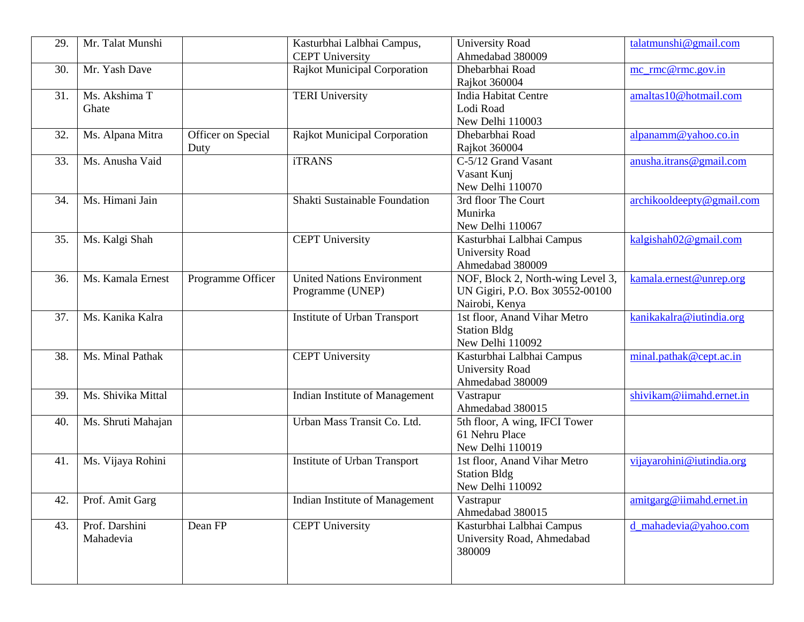| 29. | Mr. Talat Munshi            |                            | Kasturbhai Lalbhai Campus,<br><b>CEPT University</b>  | <b>University Road</b><br>Ahmedabad 380009                                             | talatmunshi@gmail.com     |
|-----|-----------------------------|----------------------------|-------------------------------------------------------|----------------------------------------------------------------------------------------|---------------------------|
| 30. | Mr. Yash Dave               |                            | Rajkot Municipal Corporation                          | Dhebarbhai Road<br>Rajkot 360004                                                       | mc_rmc@rmc.gov.in         |
| 31. | Ms. Akshima T<br>Ghate      |                            | <b>TERI</b> University                                | <b>India Habitat Centre</b><br>Lodi Road<br>New Delhi 110003                           | amaltas10@hotmail.com     |
| 32. | Ms. Alpana Mitra            | Officer on Special<br>Duty | Rajkot Municipal Corporation                          | Dhebarbhai Road<br>Rajkot 360004                                                       | alpanamm@yahoo.co.in      |
| 33. | Ms. Anusha Vaid             |                            | <b>iTRANS</b>                                         | C-5/12 Grand Vasant<br>Vasant Kunj<br>New Delhi 110070                                 | anusha.itrans@gmail.com   |
| 34. | Ms. Himani Jain             |                            | Shakti Sustainable Foundation                         | 3rd floor The Court<br>Munirka<br>New Delhi 110067                                     | archikooldeepty@gmail.com |
| 35. | Ms. Kalgi Shah              |                            | <b>CEPT University</b>                                | Kasturbhai Lalbhai Campus<br><b>University Road</b><br>Ahmedabad 380009                | kalgishah02@gmail.com     |
| 36. | Ms. Kamala Ernest           | Programme Officer          | <b>United Nations Environment</b><br>Programme (UNEP) | NOF, Block 2, North-wing Level 3,<br>UN Gigiri, P.O. Box 30552-00100<br>Nairobi, Kenya | kamala.ernest@unrep.org   |
| 37. | Ms. Kanika Kalra            |                            | Institute of Urban Transport                          | 1st floor, Anand Vihar Metro<br><b>Station Bldg</b><br>New Delhi 110092                | kanikakalra@iutindia.org  |
| 38. | Ms. Minal Pathak            |                            | <b>CEPT University</b>                                | Kasturbhai Lalbhai Campus<br><b>University Road</b><br>Ahmedabad 380009                | minal.pathak@cept.ac.in   |
| 39. | Ms. Shivika Mittal          |                            | Indian Institute of Management                        | Vastrapur<br>Ahmedabad 380015                                                          | shivikam@iimahd.ernet.in  |
| 40. | Ms. Shruti Mahajan          |                            | Urban Mass Transit Co. Ltd.                           | 5th floor, A wing, IFCI Tower<br>61 Nehru Place<br>New Delhi 110019                    |                           |
| 41. | Ms. Vijaya Rohini           |                            | Institute of Urban Transport                          | 1st floor, Anand Vihar Metro<br><b>Station Bldg</b><br>New Delhi 110092                | vijayarohini@iutindia.org |
| 42. | Prof. Amit Garg             |                            | Indian Institute of Management                        | Vastrapur<br>Ahmedabad 380015                                                          | amitgarg@iimahd.ernet.in  |
| 43. | Prof. Darshini<br>Mahadevia | Dean FP                    | <b>CEPT University</b>                                | Kasturbhai Lalbhai Campus<br>University Road, Ahmedabad<br>380009                      | d_mahadevia@yahoo.com     |